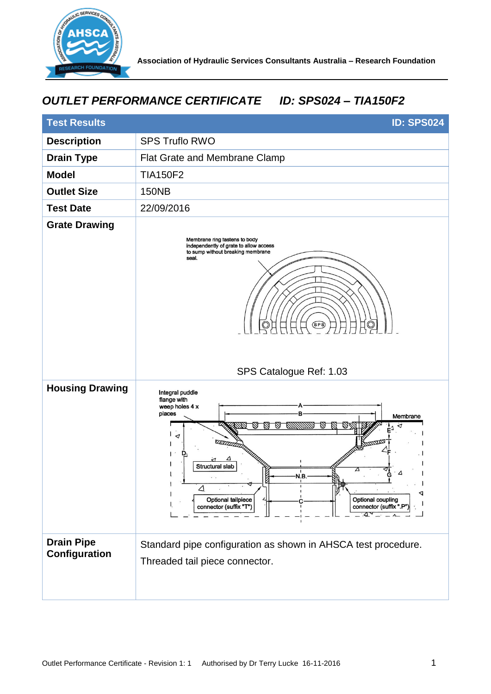

## *OUTLET PERFORMANCE CERTIFICATE ID: SPS024 – TIA150F2*